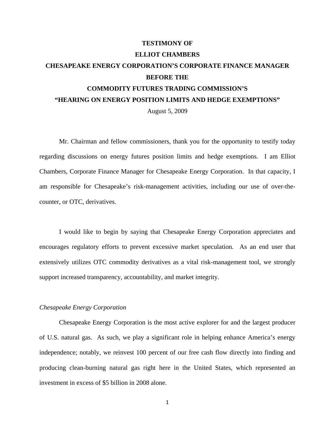# **TESTIMONY OF ELLIOT CHAMBERS CHESAPEAKE ENERGY CORPORATION'S CORPORATE FINANCE MANAGER BEFORE THE COMMODITY FUTURES TRADING COMMISSION'S "HEARING ON ENERGY POSITION LIMITS AND HEDGE EXEMPTIONS"**  August 5, 2009

Mr. Chairman and fellow commissioners, thank you for the opportunity to testify today regarding discussions on energy futures position limits and hedge exemptions. I am Elliot Chambers, Corporate Finance Manager for Chesapeake Energy Corporation. In that capacity, I am responsible for Chesapeake's risk-management activities, including our use of over-thecounter, or OTC, derivatives.

I would like to begin by saying that Chesapeake Energy Corporation appreciates and encourages regulatory efforts to prevent excessive market speculation. As an end user that extensively utilizes OTC commodity derivatives as a vital risk-management tool, we strongly support increased transparency, accountability, and market integrity.

# *Chesapeake Energy Corporation*

Chesapeake Energy Corporation is the most active explorer for and the largest producer of U.S. natural gas. As such, we play a significant role in helping enhance America's energy independence; notably, we reinvest 100 percent of our free cash flow directly into finding and producing clean-burning natural gas right here in the United States, which represented an investment in excess of \$5 billion in 2008 alone.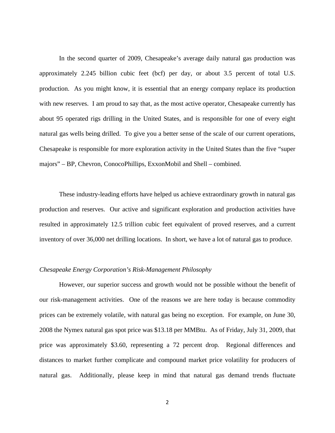In the second quarter of 2009, Chesapeake's average daily natural gas production was approximately 2.245 billion cubic feet (bcf) per day, or about 3.5 percent of total U.S. production. As you might know, it is essential that an energy company replace its production with new reserves. I am proud to say that, as the most active operator, Chesapeake currently has about 95 operated rigs drilling in the United States, and is responsible for one of every eight natural gas wells being drilled. To give you a better sense of the scale of our current operations, Chesapeake is responsible for more exploration activity in the United States than the five "super majors" – BP, Chevron, ConocoPhillips, ExxonMobil and Shell – combined.

These industry-leading efforts have helped us achieve extraordinary growth in natural gas production and reserves. Our active and significant exploration and production activities have resulted in approximately 12.5 trillion cubic feet equivalent of proved reserves, and a current inventory of over 36,000 net drilling locations. In short, we have a lot of natural gas to produce.

### *Chesapeake Energy Corporation's Risk-Management Philosophy*

However, our superior success and growth would not be possible without the benefit of our risk-management activities. One of the reasons we are here today is because commodity prices can be extremely volatile, with natural gas being no exception. For example, on June 30, 2008 the Nymex natural gas spot price was \$13.18 per MMBtu. As of Friday, July 31, 2009, that price was approximately \$3.60, representing a 72 percent drop*.* Regional differences and distances to market further complicate and compound market price volatility for producers of natural gas. Additionally, please keep in mind that natural gas demand trends fluctuate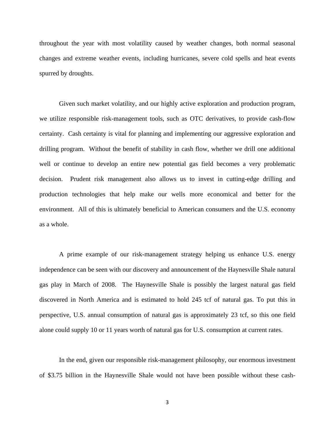throughout the year with most volatility caused by weather changes, both normal seasonal changes and extreme weather events, including hurricanes, severe cold spells and heat events spurred by droughts.

Given such market volatility, and our highly active exploration and production program, we utilize responsible risk-management tools, such as OTC derivatives, to provide cash-flow certainty. Cash certainty is vital for planning and implementing our aggressive exploration and drilling program. Without the benefit of stability in cash flow, whether we drill one additional well or continue to develop an entire new potential gas field becomes a very problematic decision. Prudent risk management also allows us to invest in cutting-edge drilling and production technologies that help make our wells more economical and better for the environment. All of this is ultimately beneficial to American consumers and the U.S. economy as a whole.

A prime example of our risk-management strategy helping us enhance U.S. energy independence can be seen with our discovery and announcement of the Haynesville Shale natural gas play in March of 2008. The Haynesville Shale is possibly the largest natural gas field discovered in North America and is estimated to hold 245 tcf of natural gas. To put this in perspective, U.S. annual consumption of natural gas is approximately 23 tcf, so this one field alone could supply 10 or 11 years worth of natural gas for U.S. consumption at current rates.

In the end, given our responsible risk-management philosophy, our enormous investment of \$3.75 billion in the Haynesville Shale would not have been possible without these cash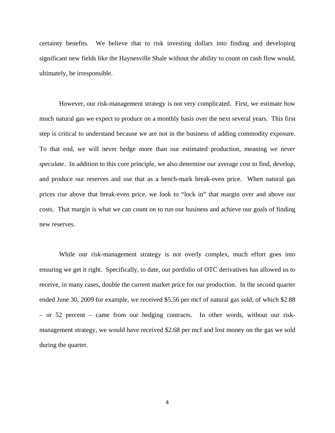certainty benefits. We believe that to risk investing dollars into finding and developing significant new fields like the Haynesville Shale without the ability to count on cash flow would, ultimately, be irresponsible.

However, our risk-management strategy is not very complicated. First, we estimate how much natural gas we expect to produce on a monthly basis over the next several years. This first step is critical to understand because we are not in the business of adding commodity exposure. To that end, we will never hedge more than our estimated production, meaning *we never speculate*. In addition to this core principle, we also determine our average cost to find, develop, and produce our reserves and use that as a bench-mark break-even price. When natural gas prices rise above that break-even price, we look to "lock in" that margin over and above our costs. That margin is what we can count on to run our business and achieve our goals of finding new reserves.

While our risk-management strategy is not overly complex, much effort goes into ensuring we get it right. Specifically, to date, our portfolio of OTC derivatives has allowed us to receive, in many cases, double the current market price for our production. In the second quarter ended June 30, 2009 for example, we received \$5.56 per mcf of natural gas sold, of which \$2.88 – or 52 percent – came from our hedging contracts. In other words, without our riskmanagement strategy, we would have received \$2.68 per mcf and lost money on the gas we sold during the quarter.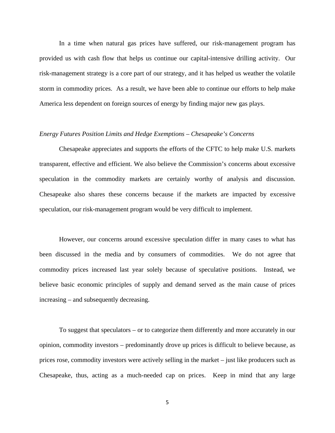In a time when natural gas prices have suffered, our risk-management program has provided us with cash flow that helps us continue our capital-intensive drilling activity. Our risk-management strategy is a core part of our strategy, and it has helped us weather the volatile storm in commodity prices. As a result, we have been able to continue our efforts to help make America less dependent on foreign sources of energy by finding major new gas plays.

## *Energy Futures Position Limits and Hedge Exemptions – Chesapeake's Concerns*

Chesapeake appreciates and supports the efforts of the CFTC to help make U.S. markets transparent, effective and efficient. We also believe the Commission's concerns about excessive speculation in the commodity markets are certainly worthy of analysis and discussion. Chesapeake also shares these concerns because if the markets are impacted by excessive speculation, our risk-management program would be very difficult to implement.

However, our concerns around excessive speculation differ in many cases to what has been discussed in the media and by consumers of commodities. We do not agree that commodity prices increased last year solely because of speculative positions. Instead, we believe basic economic principles of supply and demand served as the main cause of prices increasing – and subsequently decreasing.

To suggest that speculators – or to categorize them differently and more accurately in our opinion, commodity investors – predominantly drove up prices is difficult to believe because, as prices rose, commodity investors were actively selling in the market – just like producers such as Chesapeake, thus, acting as a much-needed cap on prices. Keep in mind that any large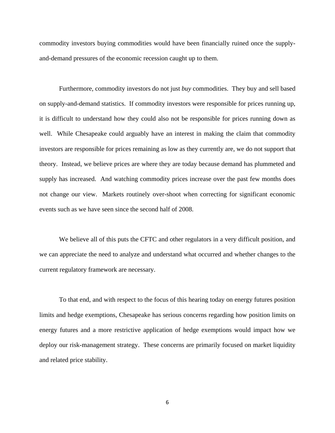commodity investors buying commodities would have been financially ruined once the supplyand-demand pressures of the economic recession caught up to them.

Furthermore, commodity investors do not just *buy* commodities. They buy and sell based on supply-and-demand statistics. If commodity investors were responsible for prices running up, it is difficult to understand how they could also not be responsible for prices running down as well. While Chesapeake could arguably have an interest in making the claim that commodity investors are responsible for prices remaining as low as they currently are, we do not support that theory. Instead, we believe prices are where they are today because demand has plummeted and supply has increased. And watching commodity prices increase over the past few months does not change our view. Markets routinely over-shoot when correcting for significant economic events such as we have seen since the second half of 2008.

 We believe all of this puts the CFTC and other regulators in a very difficult position, and we can appreciate the need to analyze and understand what occurred and whether changes to the current regulatory framework are necessary.

To that end, and with respect to the focus of this hearing today on energy futures position limits and hedge exemptions, Chesapeake has serious concerns regarding how position limits on energy futures and a more restrictive application of hedge exemptions would impact how we deploy our risk-management strategy. These concerns are primarily focused on market liquidity and related price stability.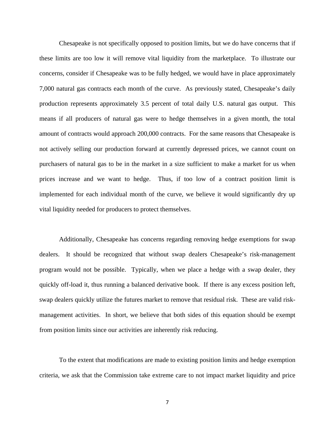Chesapeake is not specifically opposed to position limits, but we do have concerns that if these limits are too low it will remove vital liquidity from the marketplace. To illustrate our concerns, consider if Chesapeake was to be fully hedged, we would have in place approximately 7,000 natural gas contracts each month of the curve. As previously stated, Chesapeake's daily production represents approximately 3.5 percent of total daily U.S. natural gas output. This means if all producers of natural gas were to hedge themselves in a given month, the total amount of contracts would approach 200,000 contracts. For the same reasons that Chesapeake is not actively selling our production forward at currently depressed prices, we cannot count on purchasers of natural gas to be in the market in a size sufficient to make a market for us when prices increase and we want to hedge. Thus, if too low of a contract position limit is implemented for each individual month of the curve, we believe it would significantly dry up vital liquidity needed for producers to protect themselves.

Additionally, Chesapeake has concerns regarding removing hedge exemptions for swap dealers. It should be recognized that without swap dealers Chesapeake's risk-management program would not be possible. Typically, when we place a hedge with a swap dealer, they quickly off-load it, thus running a balanced derivative book. If there is any excess position left, swap dealers quickly utilize the futures market to remove that residual risk. These are valid riskmanagement activities. In short, we believe that both sides of this equation should be exempt from position limits since our activities are inherently risk reducing.

To the extent that modifications are made to existing position limits and hedge exemption criteria, we ask that the Commission take extreme care to not impact market liquidity and price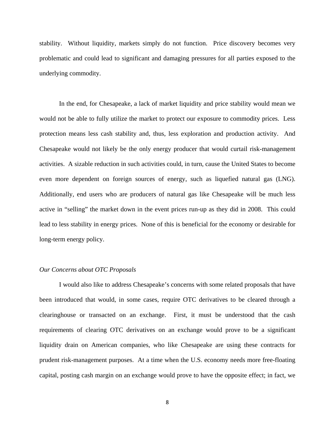stability. Without liquidity, markets simply do not function. Price discovery becomes very problematic and could lead to significant and damaging pressures for all parties exposed to the underlying commodity.

In the end, for Chesapeake, a lack of market liquidity and price stability would mean we would not be able to fully utilize the market to protect our exposure to commodity prices. Less protection means less cash stability and, thus, less exploration and production activity. And Chesapeake would not likely be the only energy producer that would curtail risk-management activities. A sizable reduction in such activities could, in turn, cause the United States to become even more dependent on foreign sources of energy, such as liquefied natural gas (LNG). Additionally, end users who are producers of natural gas like Chesapeake will be much less active in "selling" the market down in the event prices run-up as they did in 2008. This could lead to less stability in energy prices. None of this is beneficial for the economy or desirable for long-term energy policy.

### *Our Concerns about OTC Proposals*

I would also like to address Chesapeake's concerns with some related proposals that have been introduced that would, in some cases, require OTC derivatives to be cleared through a clearinghouse or transacted on an exchange. First, it must be understood that the cash requirements of clearing OTC derivatives on an exchange would prove to be a significant liquidity drain on American companies, who like Chesapeake are using these contracts for prudent risk-management purposes. At a time when the U.S. economy needs more free-floating capital, posting cash margin on an exchange would prove to have the opposite effect; in fact, we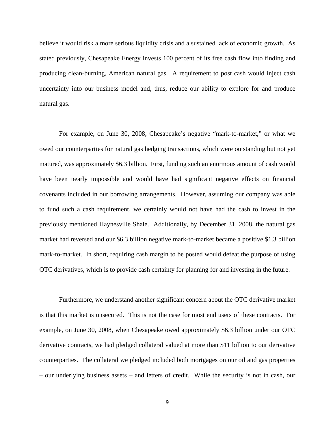believe it would risk a more serious liquidity crisis and a sustained lack of economic growth. As stated previously, Chesapeake Energy invests 100 percent of its free cash flow into finding and producing clean-burning, American natural gas. A requirement to post cash would inject cash uncertainty into our business model and, thus, reduce our ability to explore for and produce natural gas.

For example, on June 30, 2008, Chesapeake's negative "mark-to-market," or what we owed our counterparties for natural gas hedging transactions, which were outstanding but not yet matured, was approximately \$6.3 billion. First, funding such an enormous amount of cash would have been nearly impossible and would have had significant negative effects on financial covenants included in our borrowing arrangements. However, assuming our company was able to fund such a cash requirement, we certainly would not have had the cash to invest in the previously mentioned Haynesville Shale. Additionally, by December 31, 2008, the natural gas market had reversed and our \$6.3 billion negative mark-to-market became a positive \$1.3 billion mark-to-market. In short, requiring cash margin to be posted would defeat the purpose of using OTC derivatives, which is to provide cash certainty for planning for and investing in the future.

Furthermore, we understand another significant concern about the OTC derivative market is that this market is unsecured. This is not the case for most end users of these contracts. For example, on June 30, 2008, when Chesapeake owed approximately \$6.3 billion under our OTC derivative contracts, we had pledged collateral valued at more than \$11 billion to our derivative counterparties. The collateral we pledged included both mortgages on our oil and gas properties – our underlying business assets – and letters of credit. While the security is not in cash, our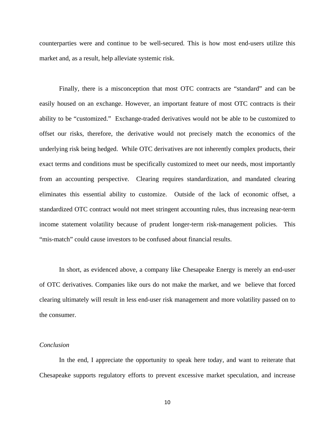counterparties were and continue to be well-secured. This is how most end-users utilize this market and, as a result, help alleviate systemic risk.

Finally, there is a misconception that most OTC contracts are "standard" and can be easily housed on an exchange. However, an important feature of most OTC contracts is their ability to be "customized." Exchange-traded derivatives would not be able to be customized to offset our risks, therefore, the derivative would not precisely match the economics of the underlying risk being hedged. While OTC derivatives are not inherently complex products, their exact terms and conditions must be specifically customized to meet our needs, most importantly from an accounting perspective. Clearing requires standardization, and mandated clearing eliminates this essential ability to customize. Outside of the lack of economic offset, a standardized OTC contract would not meet stringent accounting rules, thus increasing near-term income statement volatility because of prudent longer-term risk-management policies. This "mis-match" could cause investors to be confused about financial results.

In short, as evidenced above, a company like Chesapeake Energy is merely an end-user of OTC derivatives. Companies like ours do not make the market, and we believe that forced clearing ultimately will result in less end-user risk management and more volatility passed on to the consumer.

#### *Conclusion*

In the end, I appreciate the opportunity to speak here today, and want to reiterate that Chesapeake supports regulatory efforts to prevent excessive market speculation, and increase